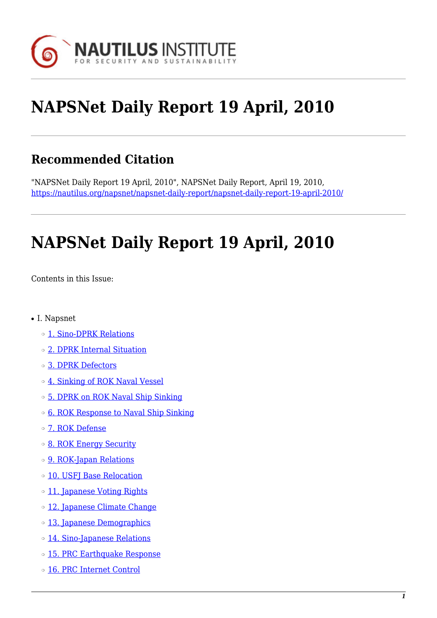

# **NAPSNet Daily Report 19 April, 2010**

## **Recommended Citation**

"NAPSNet Daily Report 19 April, 2010", NAPSNet Daily Report, April 19, 2010, <https://nautilus.org/napsnet/napsnet-daily-report/napsnet-daily-report-19-april-2010/>

# **NAPSNet Daily Report 19 April, 2010**

<span id="page-0-0"></span>Contents in this Issue:

- I. Napsnet
	- ❍ [1. Sino-DPRK Relations](#page-1-0)
	- ❍ [2. DPRK Internal Situation](#page-1-1)
	- ❍ [3. DPRK Defectors](#page-1-2)
	- o [4. Sinking of ROK Naval Vessel](#page-2-0)
	- ❍ [5. DPRK on ROK Naval Ship Sinking](#page-2-1)
	- ❍ [6. ROK Response to Naval Ship Sinking](#page-2-2)
	- ❍ [7. ROK Defense](#page-3-0)
	- o [8. ROK Energy Security](#page-3-1)
	- ❍ [9. ROK-Japan Relations](#page-3-2)
	- ❍ [10. USFJ Base Relocation](#page-4-0)
	- o [11. Japanese Voting Rights](#page-4-1)
	- ❍ [12. Japanese Climate Change](#page-5-0)
	- ❍ [13. Japanese Demographics](#page-5-1)
	- ❍ [14. Sino-Japanese Relations](#page-5-2)
	- ❍ [15. PRC Earthquake Response](#page-6-0)
	- ❍ [16. PRC Internet Control](#page-6-1)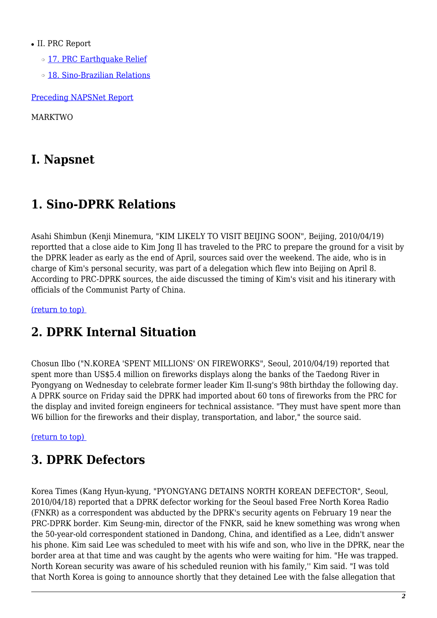#### ● II. PRC Report

- o [17. PRC Earthquake Relief](#page-6-2)
- ❍ [18. Sino-Brazilian Relations](#page-7-0)

[Preceding NAPSNet Report](https://nautilus.org/mailing-lists/napsnet/dr/2010-2/napsnet-daily-report-16-april-2010/)

MARKTWO

### **I. Napsnet**

## <span id="page-1-0"></span>**1. Sino-DPRK Relations**

Asahi Shimbun (Kenji Minemura, "KIM LIKELY TO VISIT BEIJING SOON", Beijing, 2010/04/19) reportted that a close aide to Kim Jong Il has traveled to the PRC to prepare the ground for a visit by the DPRK leader as early as the end of April, sources said over the weekend. The aide, who is in charge of Kim's personal security, was part of a delegation which flew into Beijing on April 8. According to PRC-DPRK sources, the aide discussed the timing of Kim's visit and his itinerary with officials of the Communist Party of China.

<span id="page-1-1"></span>[\(return to top\)](#page-0-0) 

## **2. DPRK Internal Situation**

Chosun Ilbo ("N.KOREA 'SPENT MILLIONS' ON FIREWORKS", Seoul, 2010/04/19) reported that spent more than US\$5.4 million on fireworks displays along the banks of the Taedong River in Pyongyang on Wednesday to celebrate former leader Kim Il-sung's 98th birthday the following day. A DPRK source on Friday said the DPRK had imported about 60 tons of fireworks from the PRC for the display and invited foreign engineers for technical assistance. "They must have spent more than W6 billion for the fireworks and their display, transportation, and labor," the source said.

### <span id="page-1-2"></span>[\(return to top\)](#page-0-0)

## **3. DPRK Defectors**

Korea Times (Kang Hyun-kyung, "PYONGYANG DETAINS NORTH KOREAN DEFECTOR", Seoul, 2010/04/18) reported that a DPRK defector working for the Seoul based Free North Korea Radio (FNKR) as a correspondent was abducted by the DPRK's security agents on February 19 near the PRC-DPRK border. Kim Seung-min, director of the FNKR, said he knew something was wrong when the 50-year-old correspondent stationed in Dandong, China, and identified as a Lee, didn't answer his phone. Kim said Lee was scheduled to meet with his wife and son, who live in the DPRK, near the border area at that time and was caught by the agents who were waiting for him. "He was trapped. North Korean security was aware of his scheduled reunion with his family,'' Kim said. "I was told that North Korea is going to announce shortly that they detained Lee with the false allegation that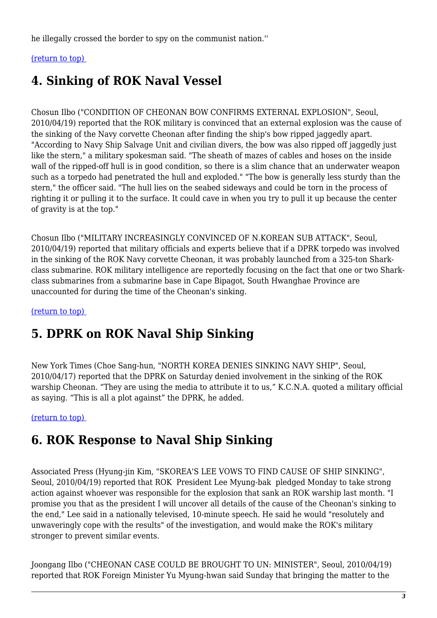he illegally crossed the border to spy on the communist nation."

### <span id="page-2-0"></span>[\(return to top\)](#page-0-0)

## **4. Sinking of ROK Naval Vessel**

Chosun Ilbo ("CONDITION OF CHEONAN BOW CONFIRMS EXTERNAL EXPLOSION", Seoul, 2010/04/19) reported that the ROK military is convinced that an external explosion was the cause of the sinking of the Navy corvette Cheonan after finding the ship's bow ripped jaggedly apart. "According to Navy Ship Salvage Unit and civilian divers, the bow was also ripped off jaggedly just like the stern," a military spokesman said. "The sheath of mazes of cables and hoses on the inside wall of the ripped-off hull is in good condition, so there is a slim chance that an underwater weapon such as a torpedo had penetrated the hull and exploded." "The bow is generally less sturdy than the stern," the officer said. "The hull lies on the seabed sideways and could be torn in the process of righting it or pulling it to the surface. It could cave in when you try to pull it up because the center of gravity is at the top."

Chosun Ilbo ("MILITARY INCREASINGLY CONVINCED OF N.KOREAN SUB ATTACK", Seoul, 2010/04/19) reported that military officials and experts believe that if a DPRK torpedo was involved in the sinking of the ROK Navy corvette Cheonan, it was probably launched from a 325-ton Sharkclass submarine. ROK military intelligence are reportedly focusing on the fact that one or two Sharkclass submarines from a submarine base in Cape Bipagot, South Hwanghae Province are unaccounted for during the time of the Cheonan's sinking.

<span id="page-2-1"></span>[\(return to top\)](#page-0-0) 

## **5. DPRK on ROK Naval Ship Sinking**

New York Times (Choe Sang-hun, "NORTH KOREA DENIES SINKING NAVY SHIP", Seoul, 2010/04/17) reported that the DPRK on Saturday denied involvement in the sinking of the ROK warship Cheonan. "They are using the media to attribute it to us," K.C.N.A. quoted a military official as saying. "This is all a plot against" the DPRK, he added.

<span id="page-2-2"></span>[\(return to top\)](#page-0-0) 

## **6. ROK Response to Naval Ship Sinking**

Associated Press (Hyung-jin Kim, "SKOREA'S LEE VOWS TO FIND CAUSE OF SHIP SINKING", Seoul, 2010/04/19) reported that ROK President Lee Myung-bak pledged Monday to take strong action against whoever was responsible for the explosion that sank an ROK warship last month. "I promise you that as the president I will uncover all details of the cause of the Cheonan's sinking to the end," Lee said in a nationally televised, 10-minute speech. He said he would "resolutely and unwaveringly cope with the results" of the investigation, and would make the ROK's military stronger to prevent similar events.

Joongang Ilbo ("CHEONAN CASE COULD BE BROUGHT TO UN: MINISTER", Seoul, 2010/04/19) reported that ROK Foreign Minister Yu Myung-hwan said Sunday that bringing the matter to the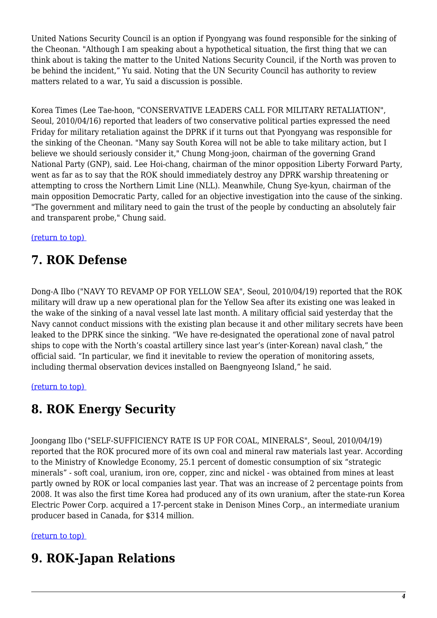United Nations Security Council is an option if Pyongyang was found responsible for the sinking of the Cheonan. "Although I am speaking about a hypothetical situation, the first thing that we can think about is taking the matter to the United Nations Security Council, if the North was proven to be behind the incident," Yu said. Noting that the UN Security Council has authority to review matters related to a war, Yu said a discussion is possible.

Korea Times (Lee Tae-hoon, "CONSERVATIVE LEADERS CALL FOR MILITARY RETALIATION", Seoul, 2010/04/16) reported that leaders of two conservative political parties expressed the need Friday for military retaliation against the DPRK if it turns out that Pyongyang was responsible for the sinking of the Cheonan. "Many say South Korea will not be able to take military action, but I believe we should seriously consider it," Chung Mong-joon, chairman of the governing Grand National Party (GNP), said. Lee Hoi-chang, chairman of the minor opposition Liberty Forward Party, went as far as to say that the ROK should immediately destroy any DPRK warship threatening or attempting to cross the Northern Limit Line (NLL). Meanwhile, Chung Sye-kyun, chairman of the main opposition Democratic Party, called for an objective investigation into the cause of the sinking. "The government and military need to gain the trust of the people by conducting an absolutely fair and transparent probe," Chung said.

<span id="page-3-0"></span>[\(return to top\)](#page-0-0) 

## **7. ROK Defense**

Dong-A Ilbo ("NAVY TO REVAMP OP FOR YELLOW SEA", Seoul, 2010/04/19) reported that the ROK military will draw up a new operational plan for the Yellow Sea after its existing one was leaked in the wake of the sinking of a naval vessel late last month. A military official said yesterday that the Navy cannot conduct missions with the existing plan because it and other military secrets have been leaked to the DPRK since the sinking. "We have re-designated the operational zone of naval patrol ships to cope with the North's coastal artillery since last year's (inter-Korean) naval clash," the official said. "In particular, we find it inevitable to review the operation of monitoring assets, including thermal observation devices installed on Baengnyeong Island," he said.

<span id="page-3-1"></span>[\(return to top\)](#page-0-0) 

## **8. ROK Energy Security**

Joongang Ilbo ("SELF-SUFFICIENCY RATE IS UP FOR COAL, MINERALS", Seoul, 2010/04/19) reported that the ROK procured more of its own coal and mineral raw materials last year. According to the Ministry of Knowledge Economy, 25.1 percent of domestic consumption of six "strategic minerals" - soft coal, uranium, iron ore, copper, zinc and nickel - was obtained from mines at least partly owned by ROK or local companies last year. That was an increase of 2 percentage points from 2008. It was also the first time Korea had produced any of its own uranium, after the state-run Korea Electric Power Corp. acquired a 17-percent stake in Denison Mines Corp., an intermediate uranium producer based in Canada, for \$314 million.

<span id="page-3-2"></span>[\(return to top\)](#page-0-0) 

## **9. ROK-Japan Relations**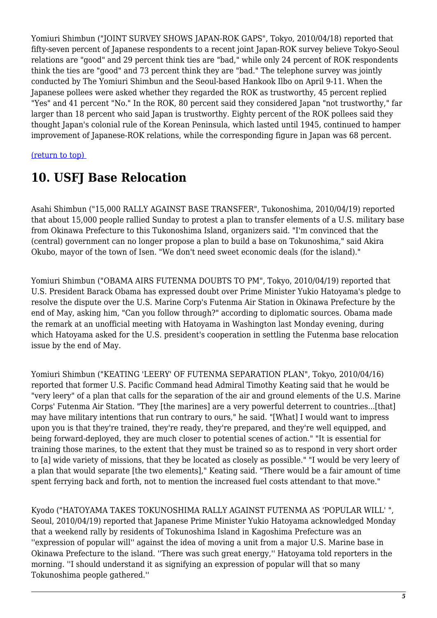Yomiuri Shimbun ("JOINT SURVEY SHOWS JAPAN-ROK GAPS", Tokyo, 2010/04/18) reported that fifty-seven percent of Japanese respondents to a recent joint Japan-ROK survey believe Tokyo-Seoul relations are "good" and 29 percent think ties are "bad," while only 24 percent of ROK respondents think the ties are "good" and 73 percent think they are "bad." The telephone survey was jointly conducted by The Yomiuri Shimbun and the Seoul-based Hankook Ilbo on April 9-11. When the Japanese pollees were asked whether they regarded the ROK as trustworthy, 45 percent replied "Yes" and 41 percent "No." In the ROK, 80 percent said they considered Japan "not trustworthy," far larger than 18 percent who said Japan is trustworthy. Eighty percent of the ROK pollees said they thought Japan's colonial rule of the Korean Peninsula, which lasted until 1945, continued to hamper improvement of Japanese-ROK relations, while the corresponding figure in Japan was 68 percent.

### <span id="page-4-0"></span>[\(return to top\)](#page-0-0)

## **10. USFJ Base Relocation**

Asahi Shimbun ("15,000 RALLY AGAINST BASE TRANSFER", Tukonoshima, 2010/04/19) reported that about 15,000 people rallied Sunday to protest a plan to transfer elements of a U.S. military base from Okinawa Prefecture to this Tukonoshima Island, organizers said. "I'm convinced that the (central) government can no longer propose a plan to build a base on Tokunoshima," said Akira Okubo, mayor of the town of Isen. "We don't need sweet economic deals (for the island)."

Yomiuri Shimbun ("OBAMA AIRS FUTENMA DOUBTS TO PM", Tokyo, 2010/04/19) reported that U.S. President Barack Obama has expressed doubt over Prime Minister Yukio Hatoyama's pledge to resolve the dispute over the U.S. Marine Corp's Futenma Air Station in Okinawa Prefecture by the end of May, asking him, "Can you follow through?" according to diplomatic sources. Obama made the remark at an unofficial meeting with Hatoyama in Washington last Monday evening, during which Hatoyama asked for the U.S. president's cooperation in settling the Futenma base relocation issue by the end of May.

Yomiuri Shimbun ("KEATING 'LEERY' OF FUTENMA SEPARATION PLAN", Tokyo, 2010/04/16) reported that former U.S. Pacific Command head Admiral Timothy Keating said that he would be "very leery" of a plan that calls for the separation of the air and ground elements of the U.S. Marine Corps' Futenma Air Station. "They [the marines] are a very powerful deterrent to countries...[that] may have military intentions that run contrary to ours," he said. "[What] I would want to impress upon you is that they're trained, they're ready, they're prepared, and they're well equipped, and being forward-deployed, they are much closer to potential scenes of action." "It is essential for training those marines, to the extent that they must be trained so as to respond in very short order to [a] wide variety of missions, that they be located as closely as possible." "I would be very leery of a plan that would separate [the two elements]," Keating said. "There would be a fair amount of time spent ferrying back and forth, not to mention the increased fuel costs attendant to that move."

<span id="page-4-1"></span>Kyodo ("HATOYAMA TAKES TOKUNOSHIMA RALLY AGAINST FUTENMA AS 'POPULAR WILL' ", Seoul, 2010/04/19) reported that Japanese Prime Minister Yukio Hatoyama acknowledged Monday that a weekend rally by residents of Tokunoshima Island in Kagoshima Prefecture was an ''expression of popular will'' against the idea of moving a unit from a major U.S. Marine base in Okinawa Prefecture to the island. ''There was such great energy,'' Hatoyama told reporters in the morning. ''I should understand it as signifying an expression of popular will that so many Tokunoshima people gathered.''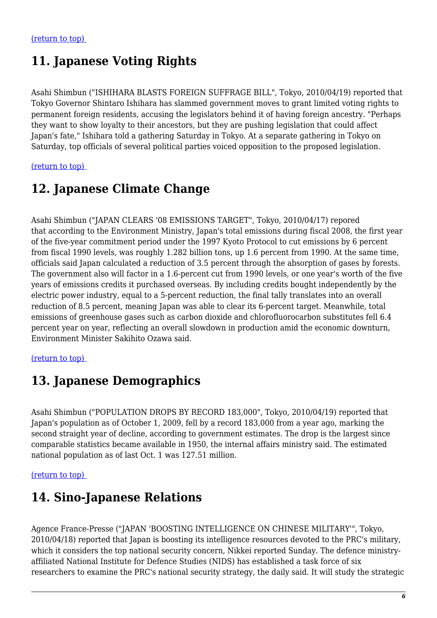## **11. Japanese Voting Rights**

Asahi Shimbun ("ISHIHARA BLASTS FOREIGN SUFFRAGE BILL", Tokyo, 2010/04/19) reported that Tokyo Governor Shintaro Ishihara has slammed government moves to grant limited voting rights to permanent foreign residents, accusing the legislators behind it of having foreign ancestry. "Perhaps they want to show loyalty to their ancestors, but they are pushing legislation that could affect Japan's fate," Ishihara told a gathering Saturday in Tokyo. At a separate gathering in Tokyo on Saturday, top officials of several political parties voiced opposition to the proposed legislation.

<span id="page-5-0"></span>[\(return to top\)](#page-0-0) 

## **12. Japanese Climate Change**

Asahi Shimbun ("JAPAN CLEARS '08 EMISSIONS TARGET", Tokyo, 2010/04/17) repored that according to the Environment Ministry, Japan's total emissions during fiscal 2008, the first year of the five-year commitment period under the 1997 Kyoto Protocol to cut emissions by 6 percent from fiscal 1990 levels, was roughly 1.282 billion tons, up 1.6 percent from 1990. At the same time, officials said Japan calculated a reduction of 3.5 percent through the absorption of gases by forests. The government also will factor in a 1.6-percent cut from 1990 levels, or one year's worth of the five years of emissions credits it purchased overseas. By including credits bought independently by the electric power industry, equal to a 5-percent reduction, the final tally translates into an overall reduction of 8.5 percent, meaning Japan was able to clear its 6-percent target. Meanwhile, total emissions of greenhouse gases such as carbon dioxide and chlorofluorocarbon substitutes fell 6.4 percent year on year, reflecting an overall slowdown in production amid the economic downturn, Environment Minister Sakihito Ozawa said.

<span id="page-5-1"></span>[\(return to top\)](#page-0-0) 

## **13. Japanese Demographics**

Asahi Shimbun ("POPULATION DROPS BY RECORD 183,000", Tokyo, 2010/04/19) reported that Japan's population as of October 1, 2009, fell by a record 183,000 from a year ago, marking the second straight year of decline, according to government estimates. The drop is the largest since comparable statistics became available in 1950, the internal affairs ministry said. The estimated national population as of last Oct. 1 was 127.51 million.

<span id="page-5-2"></span>[\(return to top\)](#page-0-0) 

## **14. Sino-Japanese Relations**

Agence France-Presse ("JAPAN 'BOOSTING INTELLIGENCE ON CHINESE MILITARY'", Tokyo, 2010/04/18) reported that Japan is boosting its intelligence resources devoted to the PRC's military, which it considers the top national security concern, Nikkei reported Sunday. The defence ministryaffiliated National Institute for Defence Studies (NIDS) has established a task force of six researchers to examine the PRC's national security strategy, the daily said. It will study the strategic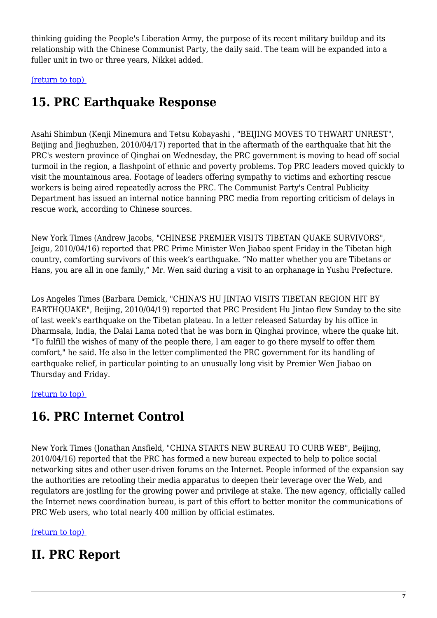thinking guiding the People's Liberation Army, the purpose of its recent military buildup and its relationship with the Chinese Communist Party, the daily said. The team will be expanded into a fuller unit in two or three years, Nikkei added.

<span id="page-6-0"></span>[\(return to top\)](#page-0-0) 

## **15. PRC Earthquake Response**

Asahi Shimbun (Kenji Minemura and Tetsu Kobayashi , "BEIJING MOVES TO THWART UNREST", Beijing and Jieghuzhen, 2010/04/17) reported that in the aftermath of the earthquake that hit the PRC's western province of Qinghai on Wednesday, the PRC government is moving to head off social turmoil in the region, a flashpoint of ethnic and poverty problems. Top PRC leaders moved quickly to visit the mountainous area. Footage of leaders offering sympathy to victims and exhorting rescue workers is being aired repeatedly across the PRC. The Communist Party's Central Publicity Department has issued an internal notice banning PRC media from reporting criticism of delays in rescue work, according to Chinese sources.

New York Times (Andrew Jacobs, "CHINESE PREMIER VISITS TIBETAN QUAKE SURVIVORS", Jeigu, 2010/04/16) reported that PRC Prime Minister Wen Jiabao spent Friday in the Tibetan high country, comforting survivors of this week's earthquake. "No matter whether you are Tibetans or Hans, you are all in one family," Mr. Wen said during a visit to an orphanage in Yushu Prefecture.

Los Angeles Times (Barbara Demick, "CHINA'S HU JINTAO VISITS TIBETAN REGION HIT BY EARTHQUAKE", Beijing, 2010/04/19) reported that PRC President Hu Jintao flew Sunday to the site of last week's earthquake on the Tibetan plateau. In a letter released Saturday by his office in Dharmsala, India, the Dalai Lama noted that he was born in Qinghai province, where the quake hit. "To fulfill the wishes of many of the people there, I am eager to go there myself to offer them comfort," he said. He also in the letter complimented the PRC government for its handling of earthquake relief, in particular pointing to an unusually long visit by Premier Wen Jiabao on Thursday and Friday.

<span id="page-6-1"></span>[\(return to top\)](#page-0-0) 

## **16. PRC Internet Control**

New York Times (Jonathan Ansfield, "CHINA STARTS NEW BUREAU TO CURB WEB", Beijing, 2010/04/16) reported that the PRC has formed a new bureau expected to help to police social networking sites and other user-driven forums on the Internet. People informed of the expansion say the authorities are retooling their media apparatus to deepen their leverage over the Web, and regulators are jostling for the growing power and privilege at stake. The new agency, officially called the Internet news coordination bureau, is part of this effort to better monitor the communications of PRC Web users, who total nearly 400 million by official estimates.

### [\(return to top\)](#page-0-0)

## <span id="page-6-2"></span>**II. PRC Report**